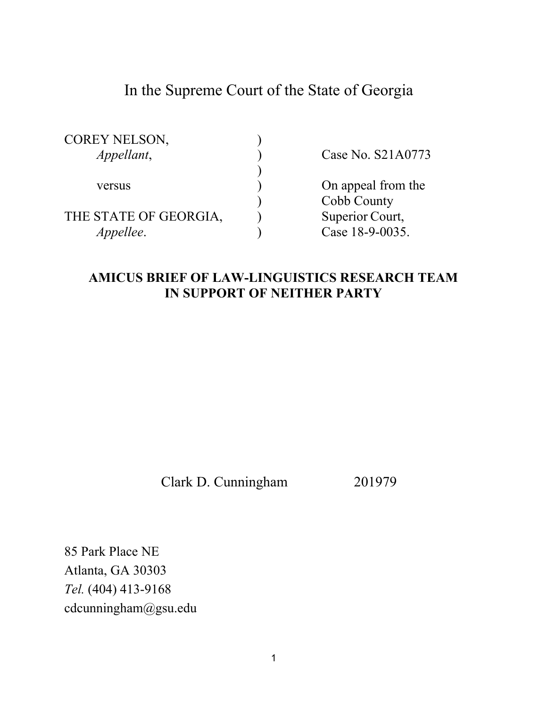# In the Supreme Court of the State of Georgia

| <b>COREY NELSON,</b>  |                    |
|-----------------------|--------------------|
| Appellant,            | Case No. S21A0773  |
|                       |                    |
| versus                | On appeal from the |
|                       | Cobb County        |
| THE STATE OF GEORGIA, | Superior Court,    |
| <i>Appellee.</i>      | Case 18-9-0035.    |

### **AMICUS BRIEF OF LAW-LINGUISTICS RESEARCH TEAM IN SUPPORT OF NEITHER PARTY**

Clark D. Cunningham 201979

85 Park Place NE Atlanta, GA 30303 *Tel.* (404) 413-9168 cdcunningham@gsu.edu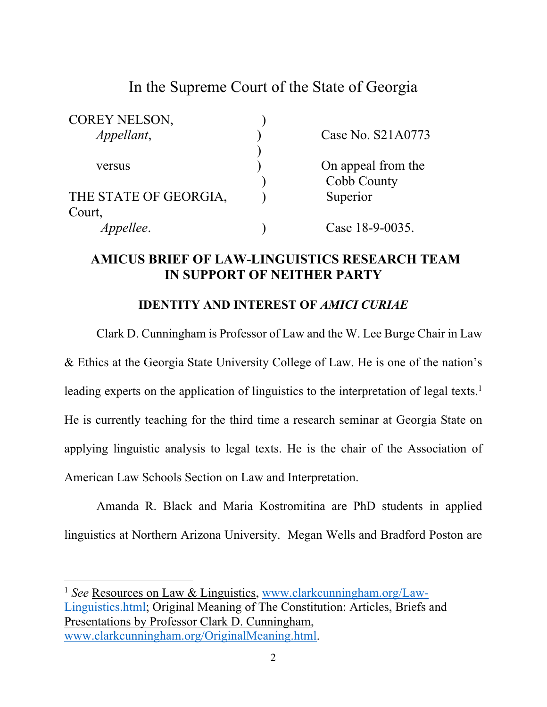# In the Supreme Court of the State of Georgia

| COREY NELSON,         |                    |
|-----------------------|--------------------|
| Appellant,            | Case No. S21A0773  |
|                       |                    |
| versus                | On appeal from the |
|                       | Cobb County        |
| THE STATE OF GEORGIA, | Superior           |
| Court,                |                    |
| <i>Appellee.</i>      | Case 18-9-0035.    |

### **AMICUS BRIEF OF LAW-LINGUISTICS RESEARCH TEAM IN SUPPORT OF NEITHER PARTY**

### **IDENTITY AND INTEREST OF** *AMICI CURIAE*

 Clark D. Cunningham is Professor of Law and the W. Lee Burge Chair in Law & Ethics at the Georgia State University College of Law. He is one of the nation's leading experts on the application of linguistics to the interpretation of legal texts.<sup>1</sup> He is currently teaching for the third time a research seminar at Georgia State on applying linguistic analysis to legal texts. He is the chair of the Association of American Law Schools Section on Law and Interpretation.

 Amanda R. Black and Maria Kostromitina are PhD students in applied linguistics at Northern Arizona University. Megan Wells and Bradford Poston are

<sup>1</sup> *See* Resources on Law & Linguistics, www.clarkcunningham.org/Law-Linguistics.html; Original Meaning of The Constitution: Articles, Briefs and Presentations by Professor Clark D. Cunningham, www.clarkcunningham.org/OriginalMeaning.html.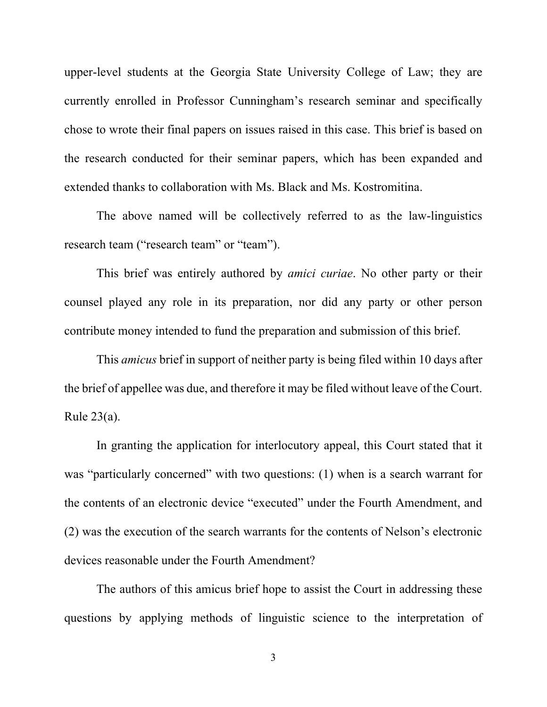upper-level students at the Georgia State University College of Law; they are currently enrolled in Professor Cunningham's research seminar and specifically chose to wrote their final papers on issues raised in this case. This brief is based on the research conducted for their seminar papers, which has been expanded and extended thanks to collaboration with Ms. Black and Ms. Kostromitina.

 The above named will be collectively referred to as the law-linguistics research team ("research team" or "team").

 This brief was entirely authored by *amici curiae*. No other party or their counsel played any role in its preparation, nor did any party or other person contribute money intended to fund the preparation and submission of this brief.

 This *amicus* brief in support of neither party is being filed within 10 days after the brief of appellee was due, and therefore it may be filed without leave of the Court. Rule 23(a).

 In granting the application for interlocutory appeal, this Court stated that it was "particularly concerned" with two questions: (1) when is a search warrant for the contents of an electronic device "executed" under the Fourth Amendment, and (2) was the execution of the search warrants for the contents of Nelson's electronic devices reasonable under the Fourth Amendment?

 The authors of this amicus brief hope to assist the Court in addressing these questions by applying methods of linguistic science to the interpretation of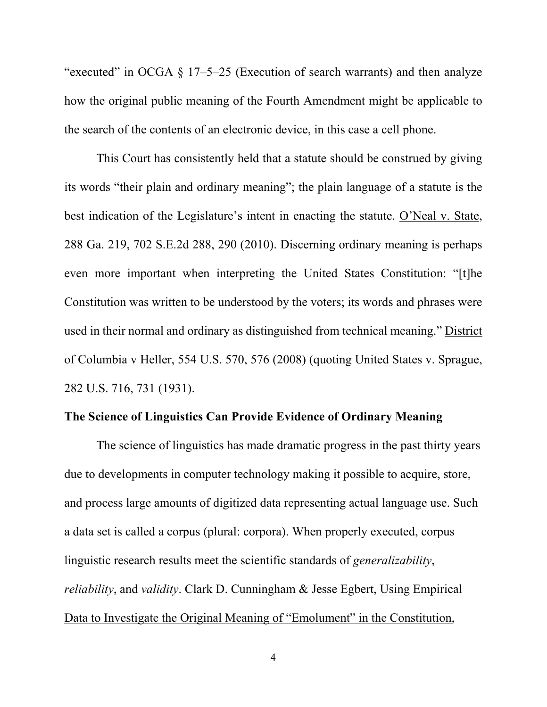"executed" in OCGA  $\S$  17–5–25 (Execution of search warrants) and then analyze how the original public meaning of the Fourth Amendment might be applicable to the search of the contents of an electronic device, in this case a cell phone.

This Court has consistently held that a statute should be construed by giving its words "their plain and ordinary meaning"; the plain language of a statute is the best indication of the Legislature's intent in enacting the statute. O'Neal v. State, 288 Ga. 219, 702 S.E.2d 288, 290 (2010). Discerning ordinary meaning is perhaps even more important when interpreting the United States Constitution: "[t]he Constitution was written to be understood by the voters; its words and phrases were used in their normal and ordinary as distinguished from technical meaning." District of Columbia v Heller, 554 U.S. 570, 576 (2008) (quoting United States v. Sprague, 282 U.S. 716, 731 (1931).

### **The Science of Linguistics Can Provide Evidence of Ordinary Meaning**

 The science of linguistics has made dramatic progress in the past thirty years due to developments in computer technology making it possible to acquire, store, and process large amounts of digitized data representing actual language use. Such a data set is called a corpus (plural: corpora). When properly executed, corpus linguistic research results meet the scientific standards of *generalizability*, *reliability*, and *validity*. Clark D. Cunningham & Jesse Egbert, Using Empirical Data to Investigate the Original Meaning of "Emolument" in the Constitution,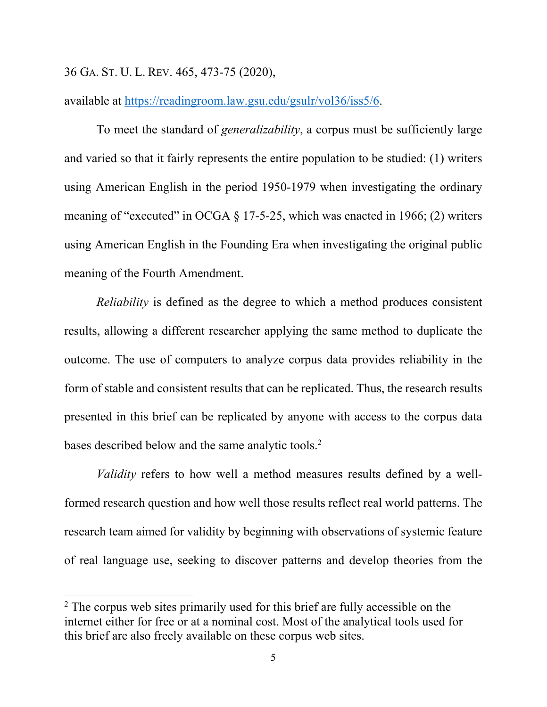#### 36 GA. ST. U. L. REV. 465, 473-75 (2020),

available at https://readingroom.law.gsu.edu/gsulr/vol36/iss5/6.

To meet the standard of *generalizability*, a corpus must be sufficiently large and varied so that it fairly represents the entire population to be studied: (1) writers using American English in the period 1950-1979 when investigating the ordinary meaning of "executed" in OCGA  $\S$  17-5-25, which was enacted in 1966; (2) writers using American English in the Founding Era when investigating the original public meaning of the Fourth Amendment.

*Reliability* is defined as the degree to which a method produces consistent results, allowing a different researcher applying the same method to duplicate the outcome. The use of computers to analyze corpus data provides reliability in the form of stable and consistent results that can be replicated. Thus, the research results presented in this brief can be replicated by anyone with access to the corpus data bases described below and the same analytic tools.<sup>2</sup>

*Validity* refers to how well a method measures results defined by a wellformed research question and how well those results reflect real world patterns. The research team aimed for validity by beginning with observations of systemic feature of real language use, seeking to discover patterns and develop theories from the

<sup>&</sup>lt;sup>2</sup> The corpus web sites primarily used for this brief are fully accessible on the internet either for free or at a nominal cost. Most of the analytical tools used for this brief are also freely available on these corpus web sites.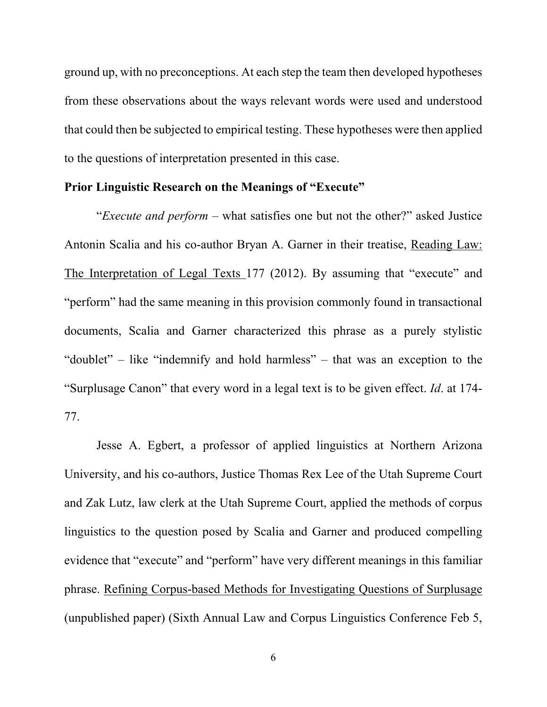ground up, with no preconceptions. At each step the team then developed hypotheses from these observations about the ways relevant words were used and understood that could then be subjected to empirical testing. These hypotheses were then applied to the questions of interpretation presented in this case.

#### **Prior Linguistic Research on the Meanings of "Execute"**

 "*Execute and perform* – what satisfies one but not the other?" asked Justice Antonin Scalia and his co-author Bryan A. Garner in their treatise, Reading Law: The Interpretation of Legal Texts 177 (2012). By assuming that "execute" and "perform" had the same meaning in this provision commonly found in transactional documents, Scalia and Garner characterized this phrase as a purely stylistic "doublet" – like "indemnify and hold harmless" – that was an exception to the "Surplusage Canon" that every word in a legal text is to be given effect. *Id*. at 174- 77.

Jesse A. Egbert, a professor of applied linguistics at Northern Arizona University, and his co-authors, Justice Thomas Rex Lee of the Utah Supreme Court and Zak Lutz, law clerk at the Utah Supreme Court, applied the methods of corpus linguistics to the question posed by Scalia and Garner and produced compelling evidence that "execute" and "perform" have very different meanings in this familiar phrase. Refining Corpus-based Methods for Investigating Questions of Surplusage (unpublished paper) (Sixth Annual Law and Corpus Linguistics Conference Feb 5,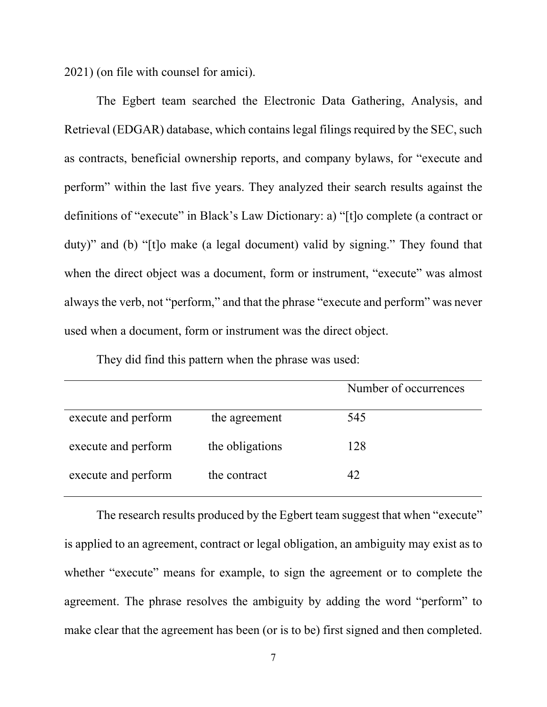2021) (on file with counsel for amici).

The Egbert team searched the Electronic Data Gathering, Analysis, and Retrieval (EDGAR) database, which contains legal filings required by the SEC, such as contracts, beneficial ownership reports, and company bylaws, for "execute and perform" within the last five years. They analyzed their search results against the definitions of "execute" in Black's Law Dictionary: a) "[t]o complete (a contract or duty)" and (b) "[t]o make (a legal document) valid by signing." They found that when the direct object was a document, form or instrument, "execute" was almost always the verb, not "perform," and that the phrase "execute and perform" was never used when a document, form or instrument was the direct object.

They did find this pattern when the phrase was used:

|                     |                 | Number of occurrences |
|---------------------|-----------------|-----------------------|
| execute and perform | the agreement   | 545                   |
| execute and perform | the obligations | 128                   |
| execute and perform | the contract    | 42                    |

The research results produced by the Egbert team suggest that when "execute" is applied to an agreement, contract or legal obligation, an ambiguity may exist as to whether "execute" means for example, to sign the agreement or to complete the agreement. The phrase resolves the ambiguity by adding the word "perform" to make clear that the agreement has been (or is to be) first signed and then completed.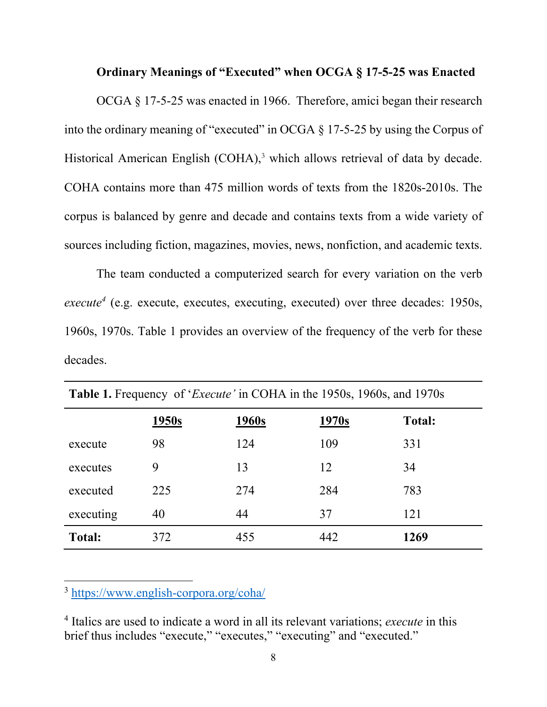### **Ordinary Meanings of "Executed" when OCGA § 17-5-25 was Enacted**

 OCGA § 17-5-25 was enacted in 1966. Therefore, amici began their research into the ordinary meaning of "executed" in OCGA § 17-5-25 by using the Corpus of Historical American English (COHA),<sup>3</sup> which allows retrieval of data by decade. COHA contains more than 475 million words of texts from the 1820s-2010s. The corpus is balanced by genre and decade and contains texts from a wide variety of sources including fiction, magazines, movies, news, nonfiction, and academic texts.

The team conducted a computerized search for every variation on the verb execute<sup>4</sup> (e.g. execute, executes, executing, executed) over three decades: 1950s, 1960s, 1970s. Table 1 provides an overview of the frequency of the verb for these decades.

| <b>Table 1.</b> I requestly of <i>Execute</i> in COTITY in the 1990s, 1900s, and 1970s |       |              |       |               |
|----------------------------------------------------------------------------------------|-------|--------------|-------|---------------|
|                                                                                        | 1950s | <u>1960s</u> | 1970s | <b>Total:</b> |
| execute                                                                                | 98    | 124          | 109   | 331           |
| executes                                                                               | 9     | 13           | 12    | 34            |
| executed                                                                               | 225   | 274          | 284   | 783           |
| executing                                                                              | 40    | 44           | 37    | 121           |
| <b>Total:</b>                                                                          | 372   | 455          | 442   | 1269          |

**Table 1.** Frequency of '*Execute'* in COHA in the 1950s, 1960s, and 1970s

<sup>3</sup> https://www.english-corpora.org/coha/

<sup>4</sup> Italics are used to indicate a word in all its relevant variations; *execute* in this brief thus includes "execute," "executes," "executing" and "executed."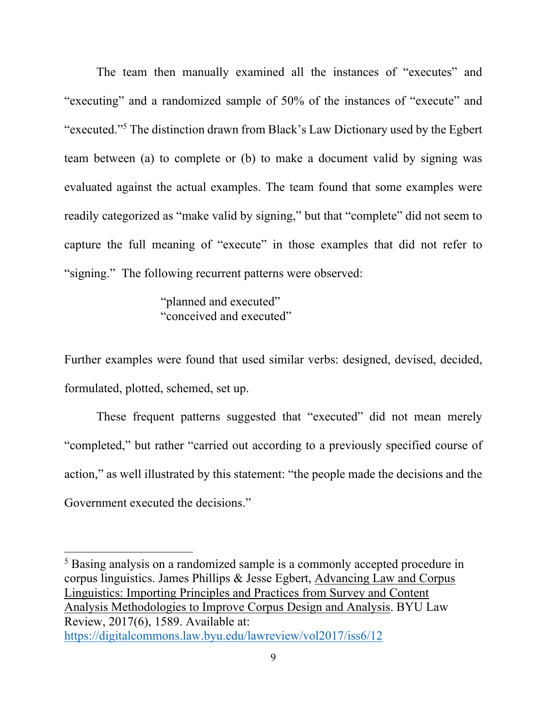The team then manually examined all the instances of "executes" and "executing" and a randomized sample of 50% of the instances of "execute" and "executed."5 The distinction drawn from Black's Law Dictionary used by the Egbert team between (a) to complete or (b) to make a document valid by signing was evaluated against the actual examples. The team found that some examples were readily categorized as "make valid by signing," but that "complete" did not seem to capture the full meaning of "execute" in those examples that did not refer to "signing." The following recurrent patterns were observed:

> "planned and executed" "conceived and executed"

Further examples were found that used similar verbs: designed, devised, decided, formulated, plotted, schemed, set up.

These frequent patterns suggested that "executed" did not mean merely "completed," but rather "carried out according to a previously specified course of action," as well illustrated by this statement: "the people made the decisions and the Government executed the decisions."

<sup>&</sup>lt;sup>5</sup> Basing analysis on a randomized sample is a commonly accepted procedure in corpus linguistics. James Phillips & Jesse Egbert, Advancing Law and Corpus Linguistics: Importing Principles and Practices from Survey and Content Analysis Methodologies to Improve Corpus Design and Analysis. BYU Law Review, 2017(6), 1589. Available at: https://digitalcommons.law.byu.edu/lawreview/vol2017/iss6/12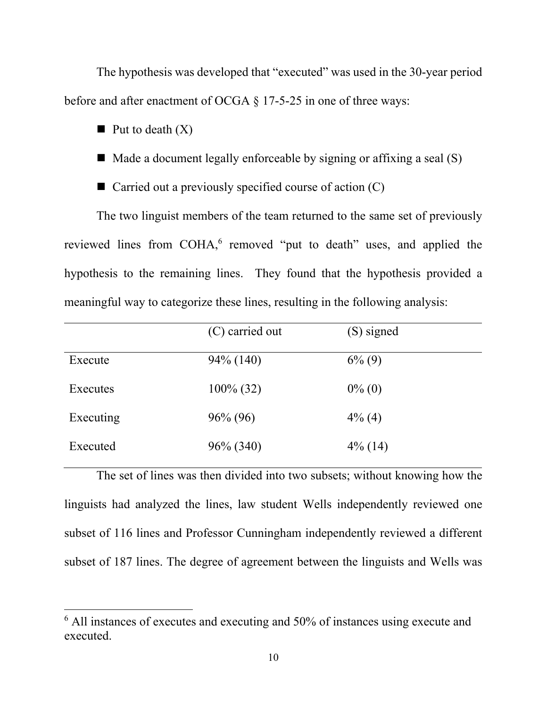The hypothesis was developed that "executed" was used in the 30-year period before and after enactment of OCGA § 17-5-25 in one of three ways:

- $\blacksquare$  Put to death  $(X)$
- $\blacksquare$  Made a document legally enforceable by signing or affixing a seal (S)
- Carried out a previously specified course of action  $(C)$

The two linguist members of the team returned to the same set of previously reviewed lines from COHA,<sup>6</sup> removed "put to death" uses, and applied the hypothesis to the remaining lines. They found that the hypothesis provided a meaningful way to categorize these lines, resulting in the following analysis:

|           | (C) carried out | (S) signed |
|-----------|-----------------|------------|
| Execute   | $94\%$ (140)    | $6\%$ (9)  |
| Executes  | $100\%$ (32)    | $0\%$ (0)  |
| Executing | $96\% (96)$     | $4\%$ (4)  |
| Executed  | $96\% (340)$    | $4\%$ (14) |

The set of lines was then divided into two subsets; without knowing how the linguists had analyzed the lines, law student Wells independently reviewed one subset of 116 lines and Professor Cunningham independently reviewed a different subset of 187 lines. The degree of agreement between the linguists and Wells was

<sup>&</sup>lt;sup>6</sup> All instances of executes and executing and 50% of instances using execute and executed.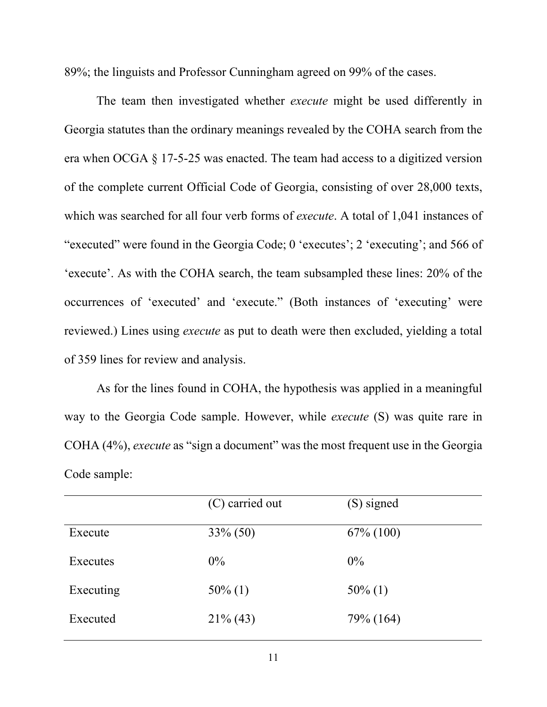89%; the linguists and Professor Cunningham agreed on 99% of the cases.

 The team then investigated whether *execute* might be used differently in Georgia statutes than the ordinary meanings revealed by the COHA search from the era when OCGA § 17-5-25 was enacted. The team had access to a digitized version of the complete current Official Code of Georgia, consisting of over 28,000 texts, which was searched for all four verb forms of *execute*. A total of 1,041 instances of "executed" were found in the Georgia Code; 0 'executes'; 2 'executing'; and 566 of 'execute'. As with the COHA search, the team subsampled these lines: 20% of the occurrences of 'executed' and 'execute." (Both instances of 'executing' were reviewed.) Lines using *execute* as put to death were then excluded, yielding a total of 359 lines for review and analysis.

 As for the lines found in COHA, the hypothesis was applied in a meaningful way to the Georgia Code sample. However, while *execute* (S) was quite rare in COHA (4%), *execute* as "sign a document" was the most frequent use in the Georgia Code sample:

|           | (C) carried out | (S) signed   |
|-----------|-----------------|--------------|
| Execute   | $33\% (50)$     | $67\%$ (100) |
| Executes  | $0\%$           | $0\%$        |
| Executing | $50\%$ (1)      | $50\%$ (1)   |
| Executed  | $21\%$ (43)     | 79% (164)    |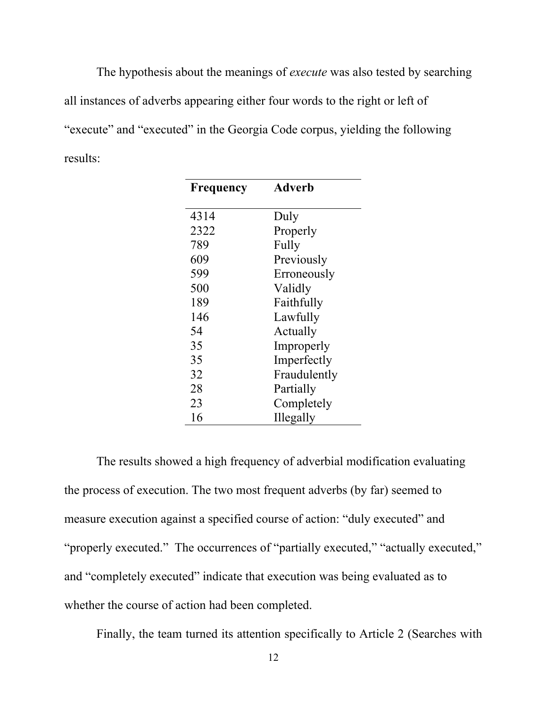The hypothesis about the meanings of *execute* was also tested by searching all instances of adverbs appearing either four words to the right or left of "execute" and "executed" in the Georgia Code corpus, yielding the following results:

| Frequency | Adverb       |  |
|-----------|--------------|--|
|           |              |  |
| 4314      | Duly         |  |
| 2322      | Properly     |  |
| 789       | Fully        |  |
| 609       | Previously   |  |
| 599       | Erroneously  |  |
| 500       | Validly      |  |
| 189       | Faithfully   |  |
| 146       | Lawfully     |  |
| 54        | Actually     |  |
| 35        | Improperly   |  |
| 35        | Imperfectly  |  |
| 32        | Fraudulently |  |
| 28        | Partially    |  |
| 23        | Completely   |  |
| 16        | Illegally    |  |

 The results showed a high frequency of adverbial modification evaluating the process of execution. The two most frequent adverbs (by far) seemed to measure execution against a specified course of action: "duly executed" and "properly executed." The occurrences of "partially executed," "actually executed," and "completely executed" indicate that execution was being evaluated as to whether the course of action had been completed.

Finally, the team turned its attention specifically to Article 2 (Searches with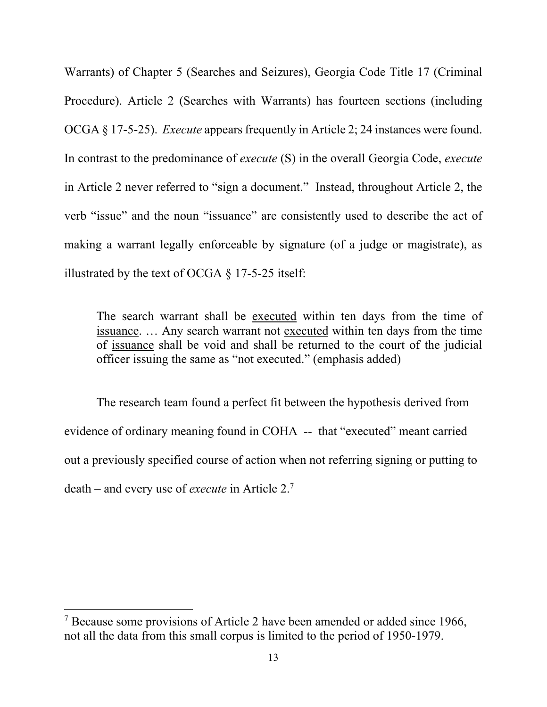Warrants) of Chapter 5 (Searches and Seizures), Georgia Code Title 17 (Criminal Procedure). Article 2 (Searches with Warrants) has fourteen sections (including OCGA § 17-5-25). *Execute* appears frequently in Article 2; 24 instances were found. In contrast to the predominance of *execute* (S) in the overall Georgia Code, *execute* in Article 2 never referred to "sign a document." Instead, throughout Article 2, the verb "issue" and the noun "issuance" are consistently used to describe the act of making a warrant legally enforceable by signature (of a judge or magistrate), as illustrated by the text of OCGA § 17-5-25 itself:

The search warrant shall be executed within ten days from the time of issuance. … Any search warrant not executed within ten days from the time of issuance shall be void and shall be returned to the court of the judicial officer issuing the same as "not executed." (emphasis added)

The research team found a perfect fit between the hypothesis derived from evidence of ordinary meaning found in COHA -- that "executed" meant carried out a previously specified course of action when not referring signing or putting to death – and every use of *execute* in Article 2.7

<sup>&</sup>lt;sup>7</sup> Because some provisions of Article 2 have been amended or added since 1966, not all the data from this small corpus is limited to the period of 1950-1979.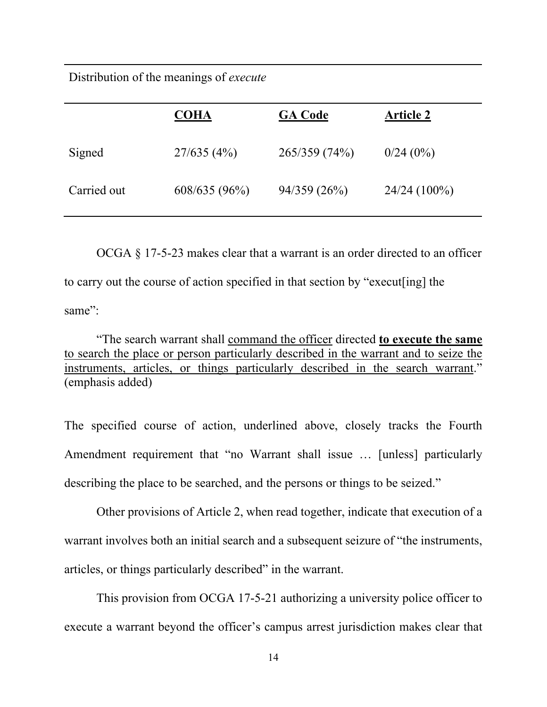Distribution of the meanings of *execute*

|             | <b>COHA</b>     | <b>GA Code</b> | <b>Article 2</b> |
|-------------|-----------------|----------------|------------------|
| Signed      | 27/635(4%)      | 265/359 (74%)  | 0/24(0%)         |
| Carried out | $608/635(96\%)$ | 94/359(26%)    | $24/24(100\%)$   |

 OCGA § 17-5-23 makes clear that a warrant is an order directed to an officer to carry out the course of action specified in that section by "execut[ing] the same":

 "The search warrant shall command the officer directed **to execute the same** to search the place or person particularly described in the warrant and to seize the instruments, articles, or things particularly described in the search warrant." (emphasis added)

The specified course of action, underlined above, closely tracks the Fourth Amendment requirement that "no Warrant shall issue … [unless] particularly describing the place to be searched, and the persons or things to be seized."

 Other provisions of Article 2, when read together, indicate that execution of a warrant involves both an initial search and a subsequent seizure of "the instruments, articles, or things particularly described" in the warrant.

This provision from OCGA 17-5-21 authorizing a university police officer to execute a warrant beyond the officer's campus arrest jurisdiction makes clear that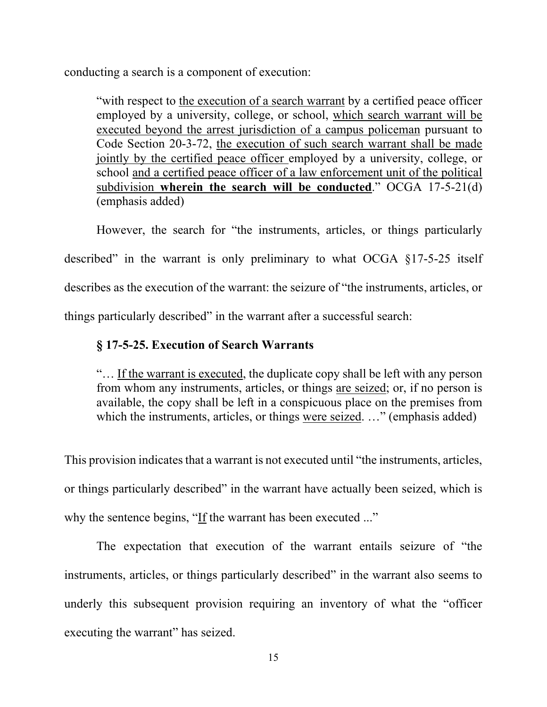conducting a search is a component of execution:

"with respect to the execution of a search warrant by a certified peace officer employed by a university, college, or school, which search warrant will be executed beyond the arrest jurisdiction of a campus policeman pursuant to Code Section 20-3-72, the execution of such search warrant shall be made jointly by the certified peace officer employed by a university, college, or school and a certified peace officer of a law enforcement unit of the political subdivision **wherein the search will be conducted**." OCGA 17-5-21(d) (emphasis added)

 However, the search for "the instruments, articles, or things particularly described" in the warrant is only preliminary to what OCGA §17-5-25 itself describes as the execution of the warrant: the seizure of "the instruments, articles, or things particularly described" in the warrant after a successful search:

### **§ 17-5-25. Execution of Search Warrants**

"… If the warrant is executed, the duplicate copy shall be left with any person from whom any instruments, articles, or things are seized; or, if no person is available, the copy shall be left in a conspicuous place on the premises from which the instruments, articles, or things were seized. ..." (emphasis added)

This provision indicates that a warrant is not executed until "the instruments, articles, or things particularly described" in the warrant have actually been seized, which is why the sentence begins, "If the warrant has been executed ..."

The expectation that execution of the warrant entails seizure of "the instruments, articles, or things particularly described" in the warrant also seems to underly this subsequent provision requiring an inventory of what the "officer executing the warrant" has seized.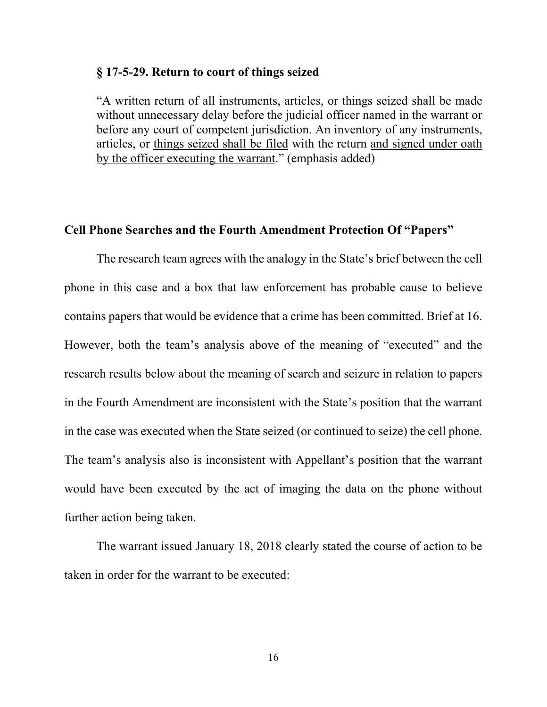#### **§ 17-5-29. Return to court of things seized**

"A written return of all instruments, articles, or things seized shall be made without unnecessary delay before the judicial officer named in the warrant or before any court of competent jurisdiction. An inventory of any instruments, articles, or things seized shall be filed with the return and signed under oath by the officer executing the warrant." (emphasis added)

### **Cell Phone Searches and the Fourth Amendment Protection Of "Papers"**

 The research team agrees with the analogy in the State's brief between the cell phone in this case and a box that law enforcement has probable cause to believe contains papers that would be evidence that a crime has been committed. Brief at 16. However, both the team's analysis above of the meaning of "executed" and the research results below about the meaning of search and seizure in relation to papers in the Fourth Amendment are inconsistent with the State's position that the warrant in the case was executed when the State seized (or continued to seize) the cell phone. The team's analysis also is inconsistent with Appellant's position that the warrant would have been executed by the act of imaging the data on the phone without further action being taken.

 The warrant issued January 18, 2018 clearly stated the course of action to be taken in order for the warrant to be executed: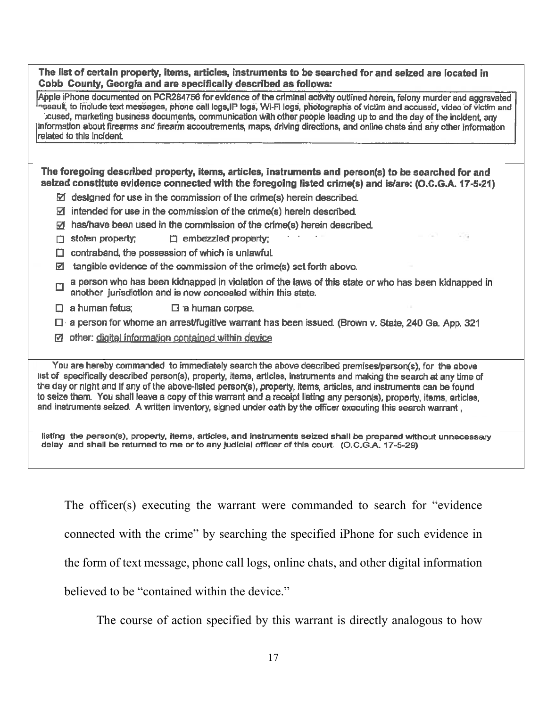| The list of certain property, items, articles, instruments to be searched for and seized are located in |
|---------------------------------------------------------------------------------------------------------|
| Cobb County, Georgia and are specifically described as follows:                                         |

Apple iPhone documented on PCR284756 for evidence of the criminal activity outlined herein, felony murder and aggravated ssault, to include text messages, phone call logs IP logs, Wi-Fi logs, photographs of victim and accused, video of victim and cused, marketing business documents, communication with other people leading up to and the day of the incident, any information about firearms and firearm accoutrements, maps, driving directions, and online chats and any other information related to this incident.

The foregoing described property, items, articles, instruments and person(s) to be searched for and selzed constitute evidence connected with the foregoing listed crime(s) and is/are; (O,C,G,A, 17-5-21)

- $\boxtimes$  designed for use in the commission of the crime(s) herein described.
- $\boxtimes$  intended for use in the commission of the crime(s) herein described.
- M has/have been used in the commission of the crime(s) herein described.
- $\Box$  stolen property;  $\Box$  embezzled property:
- $\Box$  contraband, the possession of which is unlawful.
- $\boxtimes$  tangible evidence of the commission of the crime(s) set forth above.
- a person who has been kidnapped in violation of the laws of this state or who has been kidnapped in another jurisdiction and is now concealed within this state.
- $\Box$  a human fetus;  $\Box$  a human corpse.
- $\Box$  a person for whome an arrest/fugitive warrant has been issued. (Brown v. State, 240 Ga. App. 321
- $\boxtimes$  other: digital information contained within device

You are hereby commanded to immediately search the above described premises/person(s), for the above list of specifically described person(s), property, items, articles, instruments and making the search at any time of the day or night and if any of the above-listed person(s), property, items, articles, and instruments can be found to seize them. You shall leave a copy of this warrant and a receipt listing any person(s), property, items, articles, and instruments seized. A written inventory, signed under oath by the officer executing this search warrant,

listing the person(s), property, items, articles, and instruments seized shall be prepared without unnecessary delay and shall be returned to me or to any judicial officer of this court. (O.C.G.A. 17-5-29)

The officer(s) executing the warrant were commanded to search for "evidence

connected with the crime" by searching the specified iPhone for such evidence in

the form of text message, phone call logs, online chats, and other digital information

believed to be "contained within the device."

The course of action specified by this warrant is directly analogous to how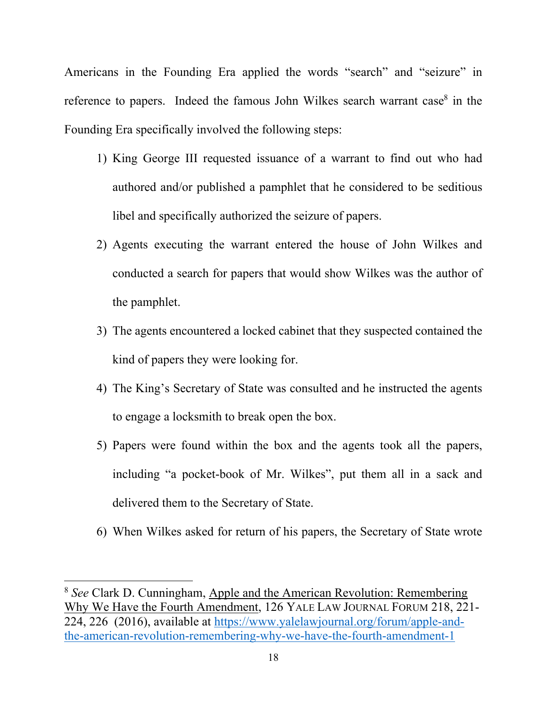Americans in the Founding Era applied the words "search" and "seizure" in reference to papers. Indeed the famous John Wilkes search warrant case $8$  in the Founding Era specifically involved the following steps:

- 1) King George III requested issuance of a warrant to find out who had authored and/or published a pamphlet that he considered to be seditious libel and specifically authorized the seizure of papers.
- 2) Agents executing the warrant entered the house of John Wilkes and conducted a search for papers that would show Wilkes was the author of the pamphlet.
- 3) The agents encountered a locked cabinet that they suspected contained the kind of papers they were looking for.
- 4) The King's Secretary of State was consulted and he instructed the agents to engage a locksmith to break open the box.
- 5) Papers were found within the box and the agents took all the papers, including "a pocket-book of Mr. Wilkes", put them all in a sack and delivered them to the Secretary of State.
- 6) When Wilkes asked for return of his papers, the Secretary of State wrote

<sup>8</sup> *See* Clark D. Cunningham, Apple and the American Revolution: Remembering Why We Have the Fourth Amendment, 126 YALE LAW JOURNAL FORUM 218, 221- 224, 226 (2016), available at https://www.yalelawjournal.org/forum/apple-andthe-american-revolution-remembering-why-we-have-the-fourth-amendment-1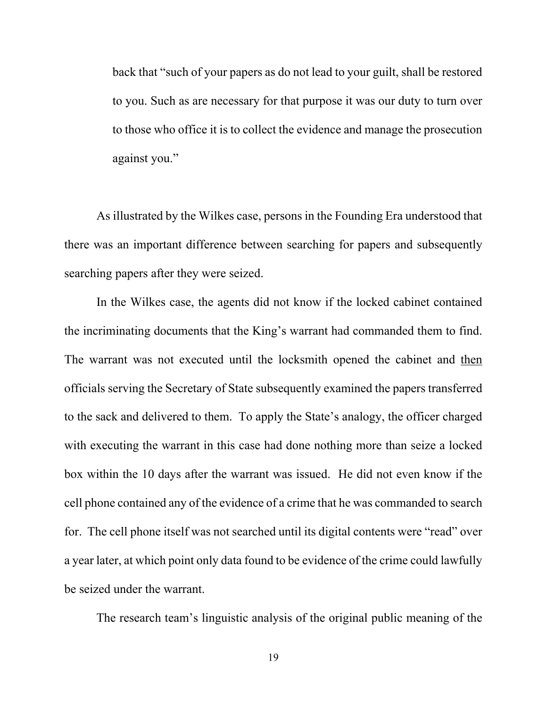back that "such of your papers as do not lead to your guilt, shall be restored to you. Such as are necessary for that purpose it was our duty to turn over to those who office it is to collect the evidence and manage the prosecution against you."

As illustrated by the Wilkes case, persons in the Founding Era understood that there was an important difference between searching for papers and subsequently searching papers after they were seized.

 In the Wilkes case, the agents did not know if the locked cabinet contained the incriminating documents that the King's warrant had commanded them to find. The warrant was not executed until the locksmith opened the cabinet and then officials serving the Secretary of State subsequently examined the papers transferred to the sack and delivered to them. To apply the State's analogy, the officer charged with executing the warrant in this case had done nothing more than seize a locked box within the 10 days after the warrant was issued. He did not even know if the cell phone contained any of the evidence of a crime that he was commanded to search for. The cell phone itself was not searched until its digital contents were "read" over a year later, at which point only data found to be evidence of the crime could lawfully be seized under the warrant.

The research team's linguistic analysis of the original public meaning of the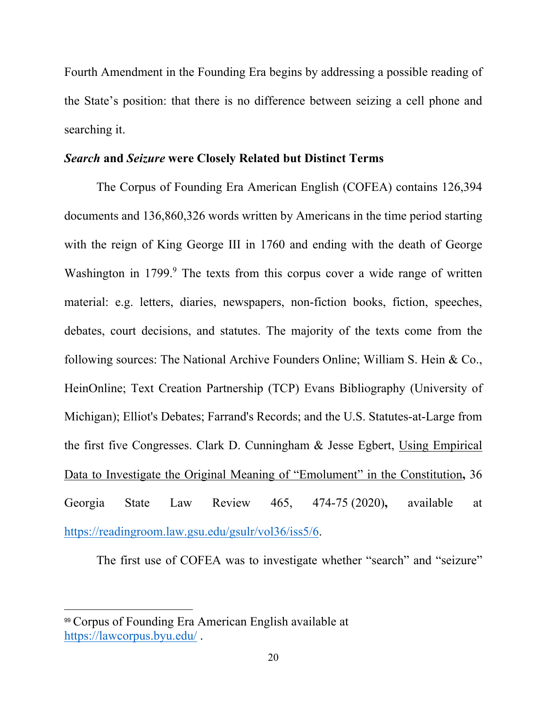Fourth Amendment in the Founding Era begins by addressing a possible reading of the State's position: that there is no difference between seizing a cell phone and searching it.

### *Search* **and** *Seizure* **were Closely Related but Distinct Terms**

 The Corpus of Founding Era American English (COFEA) contains 126,394 documents and 136,860,326 words written by Americans in the time period starting with the reign of King George III in 1760 and ending with the death of George Washington in 1799.<sup>9</sup> The texts from this corpus cover a wide range of written material: e.g. letters, diaries, newspapers, non-fiction books, fiction, speeches, debates, court decisions, and statutes. The majority of the texts come from the following sources: The National Archive Founders Online; William S. Hein & Co., HeinOnline; Text Creation Partnership (TCP) Evans Bibliography (University of Michigan); Elliot's Debates; Farrand's Records; and the U.S. Statutes-at-Large from the first five Congresses. Clark D. Cunningham & Jesse Egbert, Using Empirical Data to Investigate the Original Meaning of "Emolument" in the Constitution**,** 36 Georgia State Law Review 465, 474-75 (2020)**,** available at https://readingroom.law.gsu.edu/gsulr/vol36/iss5/6.

The first use of COFEA was to investigate whether "search" and "seizure"

<sup>99</sup> Corpus of Founding Era American English available at https://lawcorpus.byu.edu/ .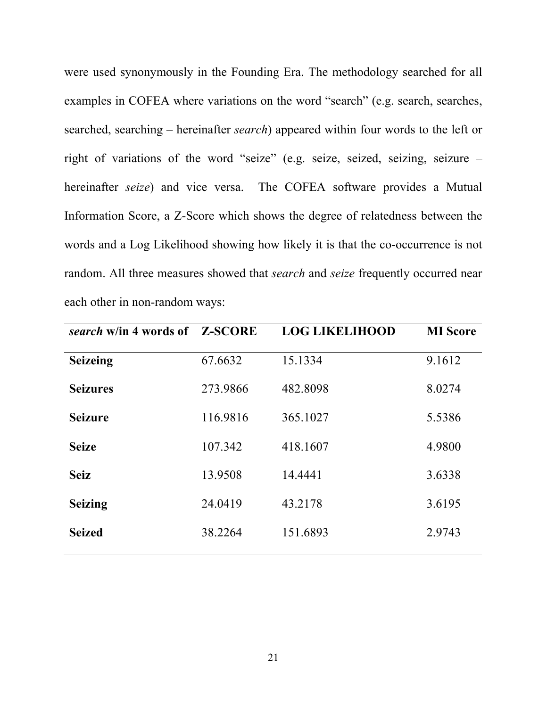were used synonymously in the Founding Era. The methodology searched for all examples in COFEA where variations on the word "search" (e.g. search, searches, searched, searching – hereinafter *search*) appeared within four words to the left or right of variations of the word "seize" (e.g. seize, seized, seizing, seizure – hereinafter *seize*) and vice versa. The COFEA software provides a Mutual Information Score, a Z-Score which shows the degree of relatedness between the words and a Log Likelihood showing how likely it is that the co-occurrence is not random. All three measures showed that *search* and *seize* frequently occurred near each other in non-random ways:

| search w/in 4 words of Z-SCORE |          | <b>LOG LIKELIHOOD</b> | <b>MI</b> Score |
|--------------------------------|----------|-----------------------|-----------------|
| <b>Seizeing</b>                | 67.6632  | 15.1334               | 9.1612          |
| <b>Seizures</b>                | 273.9866 | 482.8098              | 8.0274          |
| <b>Seizure</b>                 | 116.9816 | 365.1027              | 5.5386          |
| <b>Seize</b>                   | 107.342  | 418.1607              | 4.9800          |
| <b>Seiz</b>                    | 13.9508  | 14.4441               | 3.6338          |
| <b>Seizing</b>                 | 24.0419  | 43.2178               | 3.6195          |
| <b>Seized</b>                  | 38.2264  | 151.6893              | 2.9743          |
|                                |          |                       |                 |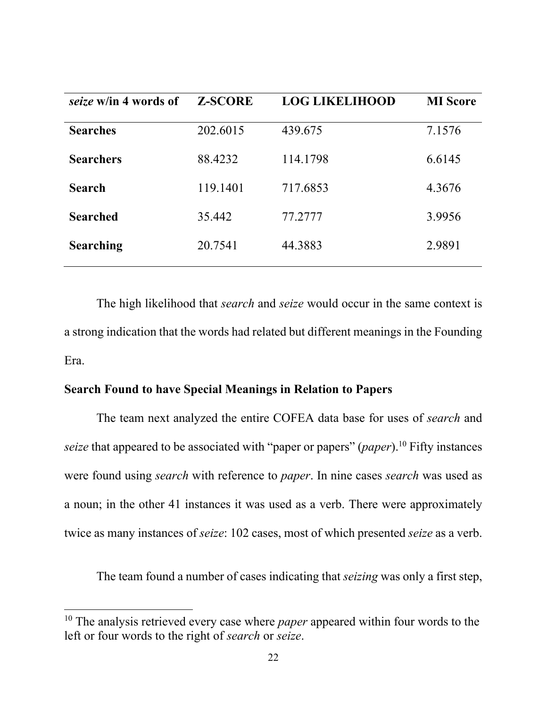| seize w/in 4 words of | <b>Z-SCORE</b> | <b>LOG LIKELIHOOD</b> | <b>MI</b> Score |
|-----------------------|----------------|-----------------------|-----------------|
| <b>Searches</b>       | 202.6015       | 439.675               | 7.1576          |
| <b>Searchers</b>      | 88.4232        | 114.1798              | 6.6145          |
| <b>Search</b>         | 119.1401       | 717.6853              | 4.3676          |
| <b>Searched</b>       | 35.442         | 77.2777               | 3.9956          |
| <b>Searching</b>      | 20.7541        | 44.3883               | 2.9891          |

 The high likelihood that *search* and *seize* would occur in the same context is a strong indication that the words had related but different meanings in the Founding Era.

### **Search Found to have Special Meanings in Relation to Papers**

The team next analyzed the entire COFEA data base for uses of *search* and *seize* that appeared to be associated with "paper or papers" (*paper*).10 Fifty instances were found using *search* with reference to *paper*. In nine cases *search* was used as a noun; in the other 41 instances it was used as a verb. There were approximately twice as many instances of *seize*: 102 cases, most of which presented *seize* as a verb.

The team found a number of cases indicating that *seizing* was only a first step,

<sup>10</sup> The analysis retrieved every case where *paper* appeared within four words to the left or four words to the right of *search* or *seize*.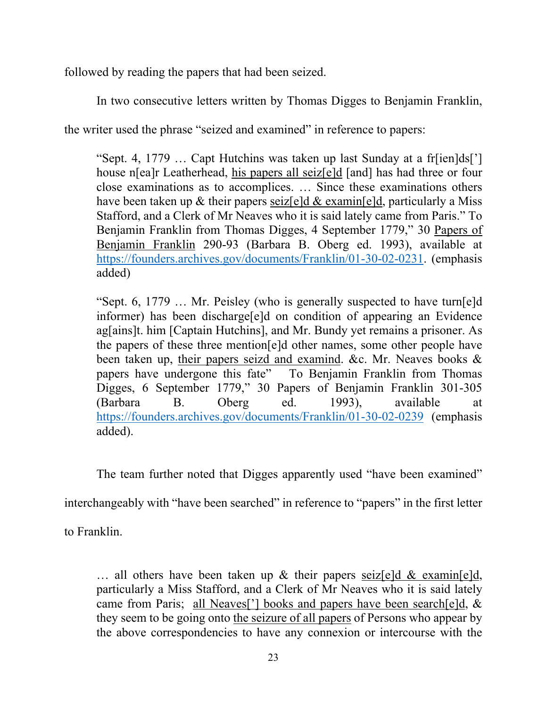followed by reading the papers that had been seized.

In two consecutive letters written by Thomas Digges to Benjamin Franklin,

the writer used the phrase "seized and examined" in reference to papers:

"Sept. 4, 1779 … Capt Hutchins was taken up last Sunday at a fr[ien]ds['] house n[ea]r Leatherhead, his papers all seiz[e]d [and] has had three or four close examinations as to accomplices. … Since these examinations others have been taken up & their papers seiz[e]d & examin[e]d, particularly a Miss Stafford, and a Clerk of Mr Neaves who it is said lately came from Paris." To Benjamin Franklin from Thomas Digges, 4 September 1779," 30 Papers of Benjamin Franklin 290-93 (Barbara B. Oberg ed. 1993), available at https://founders.archives.gov/documents/Franklin/01-30-02-0231. (emphasis added)

"Sept. 6, 1779 … Mr. Peisley (who is generally suspected to have turn[e]d informer) has been discharge[e]d on condition of appearing an Evidence ag[ains]t. him [Captain Hutchins], and Mr. Bundy yet remains a prisoner. As the papers of these three mention[e]d other names, some other people have been taken up, their papers seizd and examind. &c. Mr. Neaves books & papers have undergone this fate" To Benjamin Franklin from Thomas Digges, 6 September 1779," 30 Papers of Benjamin Franklin 301-305 (Barbara B. Oberg ed. 1993), available at https://founders.archives.gov/documents/Franklin/01-30-02-0239 (emphasis added).

The team further noted that Digges apparently used "have been examined"

interchangeably with "have been searched" in reference to "papers" in the first letter

to Franklin.

 $\ldots$  all others have been taken up & their papers seiz[e]d & examin[e]d, particularly a Miss Stafford, and a Clerk of Mr Neaves who it is said lately came from Paris; all Neaves['] books and papers have been search[e]d, & they seem to be going onto the seizure of all papers of Persons who appear by the above correspondencies to have any connexion or intercourse with the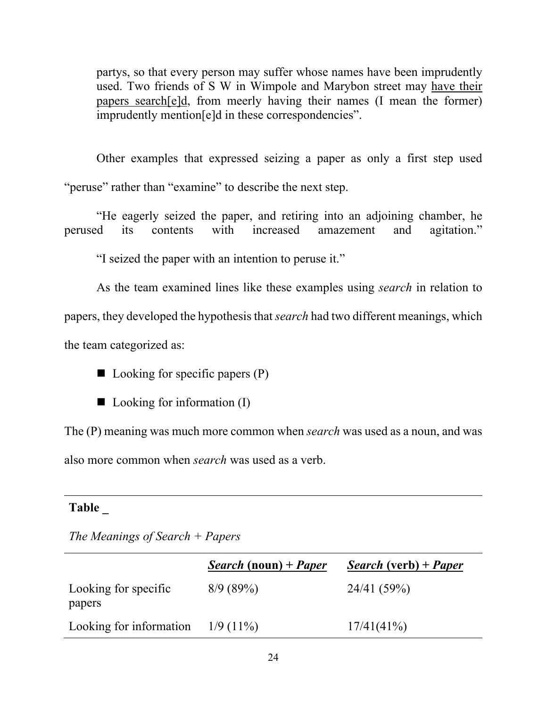partys, so that every person may suffer whose names have been imprudently used. Two friends of S W in Wimpole and Marybon street may have their papers search[e]d, from meerly having their names (I mean the former) imprudently mention[e]d in these correspondencies".

Other examples that expressed seizing a paper as only a first step used "peruse" rather than "examine" to describe the next step.

"He eagerly seized the paper, and retiring into an adjoining chamber, he perused its contents with increased amazement and agitation."

"I seized the paper with an intention to peruse it."

As the team examined lines like these examples using *search* in relation to

papers, they developed the hypothesis that *search* had two different meanings, which

the team categorized as:

 $\blacksquare$  Looking for specific papers  $(P)$ 

 $\blacksquare$  Looking for information (I)

The (P) meaning was much more common when *search* was used as a noun, and was also more common when *search* was used as a verb.

### **Table \_**

*The Meanings of Search + Papers*

|                                | <i>Search</i> (noun) + <i>Paper</i> | <i>Search</i> (verb) + <i>Paper</i> |
|--------------------------------|-------------------------------------|-------------------------------------|
| Looking for specific<br>papers | 8/9(89%)                            | 24/41 (59%)                         |
| Looking for information        | $1/9(11\%)$                         | 17/41(41%)                          |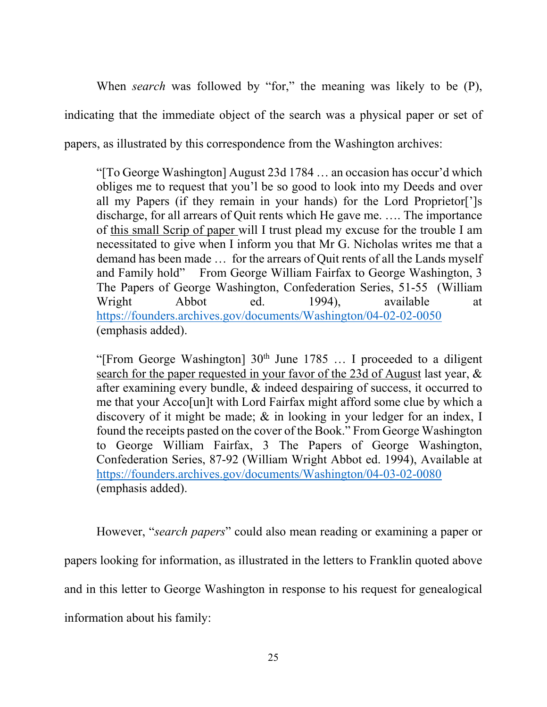When *search* was followed by "for," the meaning was likely to be (P), indicating that the immediate object of the search was a physical paper or set of papers, as illustrated by this correspondence from the Washington archives:

"[To George Washington] August 23d 1784 … an occasion has occur'd which obliges me to request that you'l be so good to look into my Deeds and over all my Papers (if they remain in your hands) for the Lord Proprietor[']s discharge, for all arrears of Quit rents which He gave me. …. The importance of this small Scrip of paper will I trust plead my excuse for the trouble I am necessitated to give when I inform you that Mr G. Nicholas writes me that a demand has been made … for the arrears of Quit rents of all the Lands myself and Family hold" From George William Fairfax to George Washington, 3 The Papers of George Washington, Confederation Series, 51-55 (William Wright Abbot ed. 1994), available at https://founders.archives.gov/documents/Washington/04-02-02-0050 (emphasis added).

"[From George Washington]  $30<sup>th</sup>$  June 1785 ... I proceeded to a diligent search for the paper requested in your favor of the 23d of August last year, & after examining every bundle, & indeed despairing of success, it occurred to me that your Acco[un]t with Lord Fairfax might afford some clue by which a discovery of it might be made; & in looking in your ledger for an index, I found the receipts pasted on the cover of the Book." From George Washington to George William Fairfax, 3 The Papers of George Washington, Confederation Series, 87-92 (William Wright Abbot ed. 1994), Available at https://founders.archives.gov/documents/Washington/04-03-02-0080 (emphasis added).

However, "*search papers*" could also mean reading or examining a paper or papers looking for information, as illustrated in the letters to Franklin quoted above and in this letter to George Washington in response to his request for genealogical information about his family: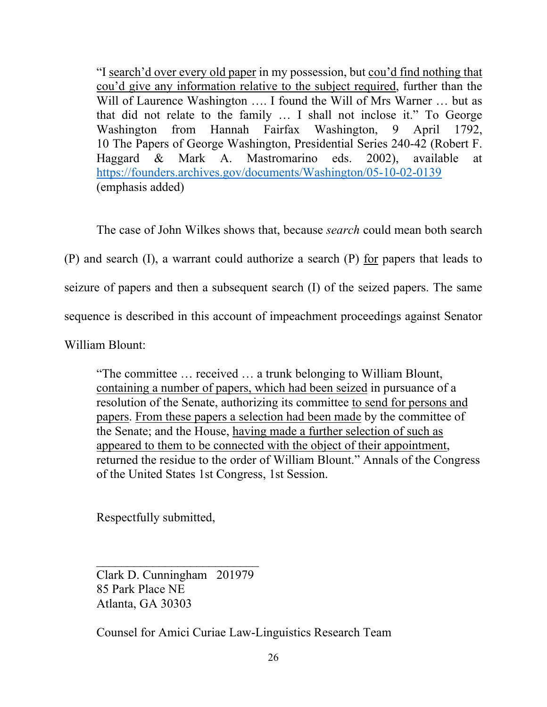"I search'd over every old paper in my possession, but cou'd find nothing that cou'd give any information relative to the subject required, further than the Will of Laurence Washington .... I found the Will of Mrs Warner ... but as that did not relate to the family … I shall not inclose it." To George Washington from Hannah Fairfax Washington, 9 April 1792, 10 The Papers of George Washington, Presidential Series 240-42 (Robert F. Haggard & Mark A. Mastromarino eds. 2002), available at https://founders.archives.gov/documents/Washington/05-10-02-0139 (emphasis added)

The case of John Wilkes shows that, because *search* could mean both search

(P) and search (I), a warrant could authorize a search (P) for papers that leads to

seizure of papers and then a subsequent search (I) of the seized papers. The same

sequence is described in this account of impeachment proceedings against Senator

William Blount:

"The committee … received … a trunk belonging to William Blount, containing a number of papers, which had been seized in pursuance of a resolution of the Senate, authorizing its committee to send for persons and papers. From these papers a selection had been made by the committee of the Senate; and the House, having made a further selection of such as appeared to them to be connected with the object of their appointment, returned the residue to the order of William Blount." Annals of the Congress of the United States 1st Congress, 1st Session.

Respectfully submitted,

Clark D. Cunningham 201979 85 Park Place NE Atlanta, GA 30303

 $\mathcal{L}_\text{max}$ 

Counsel for Amici Curiae Law-Linguistics Research Team